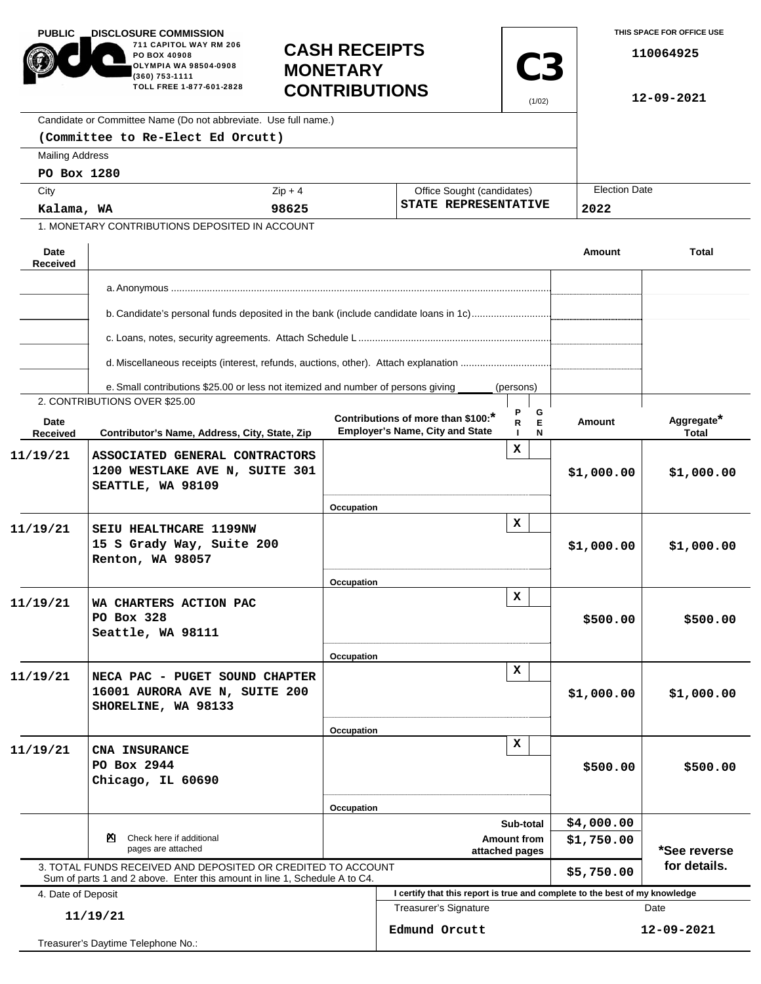| <b>PUBLIC</b>                                  | <b>DISCLOSURE COMMISSION.</b><br>711 CAPITOL WAY RM 206<br>PO BOX 40908<br>OLYMPIA WA 98504-0908<br>(360) 753-1111<br>TOLL FREE 1-877-601-2828 | <b>CASH RECEIPTS</b><br><b>MONETARY</b><br><b>CONTRIBUTIONS</b><br>Candidate or Committee Name (Do not abbreviate. Use full name.) |                                                   |                                                                              | <b>C3</b><br>(1/02) |                      | THIS SPACE FOR OFFICE USE<br>110064925<br>12-09-2021 |                     |  |
|------------------------------------------------|------------------------------------------------------------------------------------------------------------------------------------------------|------------------------------------------------------------------------------------------------------------------------------------|---------------------------------------------------|------------------------------------------------------------------------------|---------------------|----------------------|------------------------------------------------------|---------------------|--|
|                                                | (Committee to Re-Elect Ed Orcutt)                                                                                                              |                                                                                                                                    |                                                   |                                                                              |                     |                      |                                                      |                     |  |
| <b>Mailing Address</b>                         |                                                                                                                                                |                                                                                                                                    |                                                   |                                                                              |                     |                      |                                                      |                     |  |
| PO Box 1280                                    |                                                                                                                                                |                                                                                                                                    |                                                   |                                                                              |                     |                      |                                                      |                     |  |
| City                                           |                                                                                                                                                | $Zip + 4$<br>Office Sought (candidates)                                                                                            |                                                   |                                                                              |                     | <b>Election Date</b> |                                                      |                     |  |
|                                                | 98625<br>Kalama, WA                                                                                                                            |                                                                                                                                    | STATE REPRESENTATIVE                              |                                                                              |                     |                      | 2022                                                 |                     |  |
|                                                | 1. MONETARY CONTRIBUTIONS DEPOSITED IN ACCOUNT                                                                                                 |                                                                                                                                    |                                                   |                                                                              |                     |                      |                                                      |                     |  |
| Date<br><b>Received</b>                        |                                                                                                                                                |                                                                                                                                    |                                                   |                                                                              |                     |                      | Amount                                               | <b>Total</b>        |  |
|                                                |                                                                                                                                                |                                                                                                                                    |                                                   |                                                                              |                     |                      |                                                      |                     |  |
|                                                | b. Candidate's personal funds deposited in the bank (include candidate loans in 1c)                                                            |                                                                                                                                    |                                                   |                                                                              |                     |                      |                                                      |                     |  |
|                                                |                                                                                                                                                |                                                                                                                                    |                                                   |                                                                              |                     |                      |                                                      |                     |  |
|                                                | d. Miscellaneous receipts (interest, refunds, auctions, other). Attach explanation                                                             |                                                                                                                                    |                                                   |                                                                              |                     |                      |                                                      |                     |  |
|                                                | e. Small contributions \$25.00 or less not itemized and number of persons giving                                                               |                                                                                                                                    |                                                   |                                                                              | (persons)           |                      |                                                      |                     |  |
|                                                | 2. CONTRIBUTIONS OVER \$25.00                                                                                                                  |                                                                                                                                    |                                                   |                                                                              |                     |                      |                                                      |                     |  |
| Date<br>Received                               | Contributor's Name, Address, City, State, Zip                                                                                                  |                                                                                                                                    |                                                   | Contributions of more than \$100:*<br><b>Employer's Name, City and State</b> | G<br>E<br>R<br>N    |                      | Amount                                               | Aggregate*<br>Total |  |
| 11/19/21                                       | ASSOCIATED GENERAL CONTRACTORS<br>1200 WESTLAKE AVE N, SUITE 301<br>SEATTLE, WA 98109                                                          |                                                                                                                                    |                                                   |                                                                              | x                   |                      | \$1,000.00                                           | \$1,000.00          |  |
|                                                |                                                                                                                                                | Occupation                                                                                                                         |                                                   |                                                                              |                     |                      |                                                      |                     |  |
| 11/19/21                                       | SEIU HEALTHCARE 1199NW<br>15 S Grady Way, Suite 200<br>Renton, WA 98057                                                                        |                                                                                                                                    |                                                   |                                                                              | x                   |                      | \$1,000.00                                           | \$1,000.00          |  |
|                                                |                                                                                                                                                | Occupation                                                                                                                         |                                                   |                                                                              |                     |                      |                                                      |                     |  |
| 11/19/21                                       | WA CHARTERS ACTION PAC<br>PO Box 328<br>Seattle, WA 98111                                                                                      |                                                                                                                                    |                                                   |                                                                              | x                   |                      | \$500.00                                             | \$500.00            |  |
|                                                |                                                                                                                                                | Occupation                                                                                                                         |                                                   |                                                                              |                     |                      |                                                      |                     |  |
| 11/19/21                                       | NECA PAC - PUGET SOUND CHAPTER<br>16001 AURORA AVE N, SUITE 200<br>SHORELINE, WA 98133                                                         |                                                                                                                                    |                                                   |                                                                              | x                   |                      | \$1,000.00                                           | \$1,000.00          |  |
|                                                |                                                                                                                                                | Occupation                                                                                                                         |                                                   |                                                                              |                     |                      |                                                      |                     |  |
| 11/19/21                                       | CNA INSURANCE<br>PO Box 2944<br>Chicago, IL 60690                                                                                              |                                                                                                                                    |                                                   | x                                                                            |                     |                      | \$500.00                                             | \$500.00            |  |
|                                                |                                                                                                                                                | Occupation                                                                                                                         |                                                   |                                                                              |                     |                      |                                                      |                     |  |
|                                                | Check here if additional<br>PЧ.<br>pages are attached                                                                                          |                                                                                                                                    | Sub-total<br><b>Amount from</b><br>attached pages |                                                                              |                     |                      | \$4,000.00<br>\$1,750.00                             | *See reverse        |  |
|                                                | 3. TOTAL FUNDS RECEIVED AND DEPOSITED OR CREDITED TO ACCOUNT                                                                                   |                                                                                                                                    |                                                   |                                                                              |                     |                      | \$5,750.00                                           | for details.        |  |
| 4. Date of Deposit                             | Sum of parts 1 and 2 above. Enter this amount in line 1, Schedule A to C4.                                                                     |                                                                                                                                    |                                                   | I certify that this report is true and complete to the best of my knowledge  |                     |                      |                                                      |                     |  |
|                                                |                                                                                                                                                |                                                                                                                                    |                                                   | Treasurer's Signature                                                        |                     |                      | Date                                                 |                     |  |
| 11/19/21<br>Treasurer's Daytime Telephone No.: |                                                                                                                                                |                                                                                                                                    |                                                   | Edmund Orcutt                                                                |                     |                      | 12-09-2021                                           |                     |  |